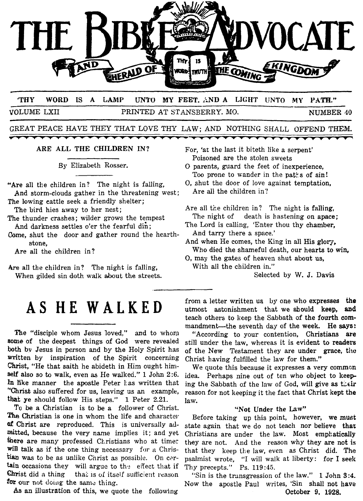

**THY WORD IS A LAMP UNTO MY FEET. AND A LIGHT UNTO MY** PATH."<br>NUMBER 40 **VOLUME LXII PRINTED AT STANSBERRY. MO.** PRINT<br>EY THAT L<br>HILDREN IN<br>HILDREN IN<br>Rosser.

GREAT PEACE HAVE THEY THAT LOVE THY LAW; AND NOTHING SHALL **OFFEND THEM.** 

## **ARE ALL THE CHILDREN** IN?

By Elizabeth Rosser.

"Are all the children in? The night is falling, The lowing cattle seek **a** friendly shelter; And storm-clouds gather in the threatening west;

The bird hies away to her nest;

- The thunder crashes; wilder grows the tempest And darkness settles o'er the fearful din;
- Come, shut the door and gather round the hearthstone,
	- Are all the children in?
- Are all the children in? The night is falling, When gilded sin doth walk about the streets.

For, 'at the last it biteth like a serpent' Poisoned are the stolen sweets

*0* parents, guard the feet of inexperience, Too prone to wander in the paths of sin!

 $\overline{\phantom{a}}$ 

- 0, shut the door of love against temptation, Are all the children in?
- Are all the children in? The night is falling. The night of death is hastening on apace;
- The Lord is calling, 'Enter thou thy chamber, And tarry there a space.'
- And when He comes, the King in all His glory, Who died the shameful death, our hearts to win,
- 0, may the gates of heaven shut about us, With all the children in."

Selected by W. J. **Davis** 

# **AS HE WALKED**

**The** "disciple whom Jesus loved," and to whom **8ome** of the deepest things of **God** were revealed **both bv** Jesus in person and by the Holy Spirit has written by inspiration of the Spirit concerning *Christ,* "He that saith he abideth in Him ought him-**Self** also so to walk, even **as** He walked." 1 John **2:6.**  fn **like** manner the apostle Peter 1:as written that "Chris& also suffered for us, leaving us **an** example, that ye should follow His steps." 1 Peter **2.21.** 

To **be** a Christian is to be a follower **of** Christ. The Christian is one in whom the life and character **Qf** Christ are reproduced. This is universally admitted, because the very name implies it; and yet bere are many professed Christians who at time? will talk as if the one thing necessary for a Chris**tian was to be as unlike Christ as possible.** On certain occasions they will argue to the effect that if **Christ did a thing** that is of itself sufficient reason **h** our not **chig** the **smie** thing.

**As an** illustration of this, we quote the following

from *a* letter written us **by** one who expresses **the**  utmost astonishment that we should keep, **and**  teach others to keep the Sabbath of the **fourth com**mandment-the seventh day of the week. He says:

"According to your contention, Christians **are**  still under the **!aw,** whereas it is evident to readers of the New Testament they are under grace, the Christ having fulfilled the law for them-"

We quote this because it expresses a very common idea. Perhaps nine out of ten who object to keep ing the Sabbath of the law of God, will give as their reason for not keeping it the fact that Christ kept the law.

# "Not Under **the Law"**

Before taking up this point, however, we **must**  state again that we do not teach nor believe that Christians are under the law. Most empkatically they are not. And the reason why they are not is that they keep the law, even as Christ did. **The**  psalmist wrote, "I will walk at liberty: for I seek Thy precepts." Ps. 119 **:45.** 

"Sin is the transgression of the law." 1 John **3:4.**  Now the apostle Paul writes, 'Sin shall not have October 9. **1928.**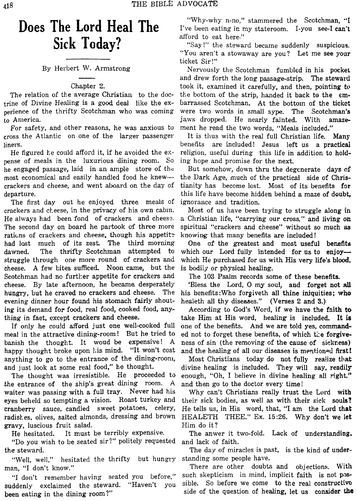# **Does The Lord Heal The Sick Today?**

## By Herbert W. Armstrong

#### Chapter **2.**

The relation of the average Christian to the doctrine of Divine Healing is a good deal like the experience of the thrifty Scotchman who was coming to America.

For safety, and other reasons, he was anxious to cross the Atlantic on one of the larger passenger liners.

He figured he could afford it, if he avoided the expense of meals in the luxurious dining room. So he engaged passage, laid in an ample store of the most economical and easily handled food he knewcrackers and cheese, and went aboard on the day of departure.

The first day out he enjoyed three meals of crackers and cteese, in the privacy of his own cabin. He always had been fond of crackers and cheese. The second day on board he partook of three more rations of crackers and cheese, though his appetite had last much of its zest The third morning dawned. The thrifty Scotchman attempted to struggle through one more round of crackers and cheese. A few bites sufficed. Noon came, but the Scotchman had no further appetite for crackers and cheese. By late afternoon, he became desperately hungry, but he craved ho crackers and cheese. The evening dinner hour found his stomach fairly shouting its demand for food, real food, cooked food, anything in fact, except crackers and cheese-

If only he could afford just one well-cooked full meal in the attractive dining-room! But he tried to banish the thought. It woud be expensive! A happy thought broke upon his mind. "It won't cost anything to go to the entrance of the dining-roonr, and just look at some real food," he thought.

The thought was irresistible. He proceeded to .the entrance of the ship's great dining room. A waiter was passing with a full tray. Never had his eyes beheld so tempting a vision. Roast turkey and cranberry sauce, candied sweet potatoes, celery, radishes, olives, salted almonds, dressing and brown gravy, luscious fruit salad.

He hesitated. It must be terribly expensive.

"Do you wish to be seated sir?" politely requested the steward.

"Well, well," hesitated the thrifty but hungry man, "I don't know."

"I don't remember having seated you before," suddenly exclaimed the steward. "Haven't you **been** eating in the dining room?"

"Why-why n-no," stammered the Scotchman, "I I've been eating in my stateroom. I-you see-I can't afford to eat here."

"Say !" the steward became suddenly suspicious. "You aren't a stowaway are you? Let me see your ticket Sir!"

Nervously the Scotchman fumbled in his pocket and drew forth the long passage-strip. The steward took it, examined it carefully, and then, pointing to the bottom of the strip, handed it back to the **em**barrassed Scotchman. At the bottom of the ticket were two words in small **sype.** The Scotchman's jaws dropped. He nearly fainted. With amazement he read the two words, "Meals included."

It is thus with the real full Christian life. Many benefits are included! Jesus left us a practical religion, useful during this life in addition to holding hope and promise for the next.

But somehow, down thru the degenerate days **of**  the Dark Age, much of the practical side of Christianity has become lost. Most of its benefits for this life have become hidden behind a maze of doubt, ignorance and tradition.

Most of us have been trying to struggle along in **a** Christian life, "carrying our cross," and living on spiritual "crackers and cheese" without so much **as**  knowing that many benefits are included!

One of the greatest and most useful benefits which our Lord fully intended for us to enjoywhich He purchased for us with His very life's **blood,**  is bodiiy or physical healing.

The **103** Psalm records some of these benefits.

'Bless the Lord, 0 my soul, and forget not **all**  his benefits: Who forgiveth all thine iniquities; who healeth all thy diseases." (Verses **2** and **3.)** 

According to God's Word, if we have the faith **to**  take Him at His word, healing is included. It **is**  one of the benefits. And we are told yes, commanded not to forget these benefits, of which the forgiveness of sin (the removing of the cause of sickness) and the healing of all our diseases is mentioned first!

Most Christians today do not fully realize that divine healing is included. They will say, readily enough, "Oh, I believe in divine healing all right," and then go to the doctor every time!

Why can't Christians really trust the Lord with their sick bodies, as well as with their sick souls? He tells us, in His word, that, "I am the Lord **that**  HEALETH THEE." **Ex. 15:26.** Why don't we let Him do it?

The anwer it two-fold. Lack of understanding. and lack of faith.

The day of miracles is past, is the kind of understanding some people have.

There are other doubts and objections. With such skepticism in mind, implicit faith is not **pas**sible. So before we come to the real constructive side of the question of healing, let us **consider the**